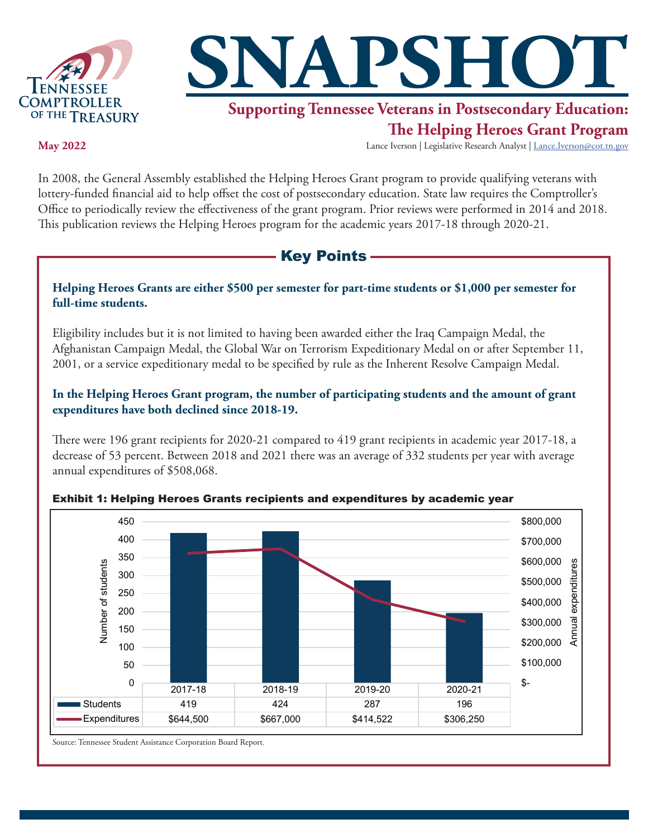



# **Supporting Tennessee Veterans in Postsecondary Education:**

## **The Helping Heroes Grant Program**

**May 2022**

Lance Iverson | Legislative Research Analyst | Lance.Iverson@cot.tn.gov

In 2008, the General Assembly established the Helping Heroes Grant program to provide qualifying veterans with lottery-funded financial aid to help offset the cost of postsecondary education. State law requires the Comptroller's Office to periodically review the effectiveness of the grant program. Prior reviews were performed in 2014 and 2018. This publication reviews the Helping Heroes program for the academic years 2017-18 through 2020-21.

## - Key Points -

#### **Helping Heroes Grants are either \$500 per semester for part-time students or \$1,000 per semester for full-time students.**

Eligibility includes but it is not limited to having been awarded either the Iraq Campaign Medal, the Afghanistan Campaign Medal, the Global War on Terrorism Expeditionary Medal on or after September 11, 2001, or a service expeditionary medal to be specified by rule as the Inherent Resolve Campaign Medal.

**In the Helping Heroes Grant program, the number of participating students and the amount of grant expenditures have both declined since 2018-19.**

There were 196 grant recipients for 2020-21 compared to 419 grant recipients in academic year 2017-18, a decrease of 53 percent. Between 2018 and 2021 there was an average of 332 students per year with average annual expenditures of \$508,068.



Exhibit 1: Helping Heroes Grants recipients and expenditures by academic year

Source: Tennessee Student Assistance Corporation Board Report.